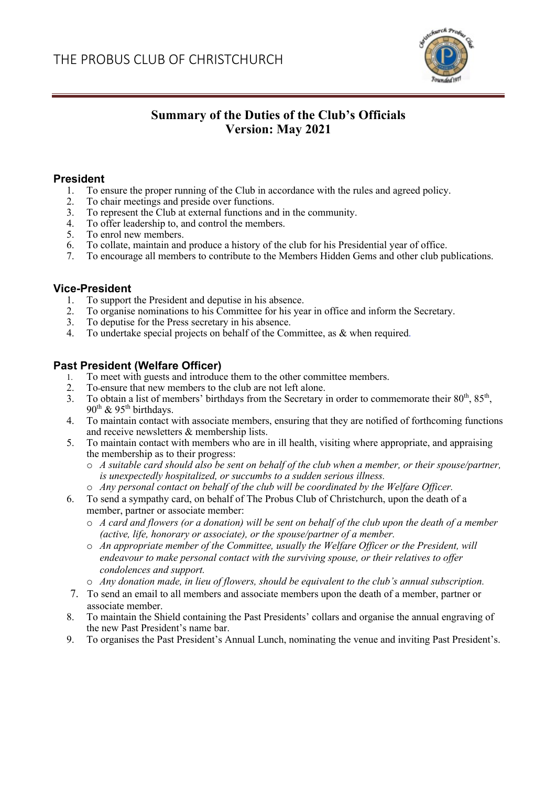

# **Summary of the Duties of the Club's Officials Version: May 2021**

## **President**

- 1. To ensure the proper running of the Club in accordance with the rules and agreed policy.
- 2. To chair meetings and preside over functions.
- 3. To represent the Club at external functions and in the community.
- 4. To offer leadership to, and control the members.
- 5. To enrol new members.
- 6. To collate, maintain and produce a history of the club for his Presidential year of office.
- 7. To encourage all members to contribute to the Members Hidden Gems and other club publications.

# **Vice-President**

- 1. To support the President and deputise in his absence.
- 2. To organise nominations to his Committee for his year in office and inform the Secretary.
- 3. To deputise for the Press secretary in his absence.
- 4. To undertake special projects on behalf of the Committee, as & when required.

# **Past President (Welfare Officer)**

- 1. To meet with guests and introduce them to the other committee members.
- 2. To ensure that new members to the club are not left alone.
- 3. To obtain a list of members' birthdays from the Secretary in order to commemorate their  $80^{th}$ ,  $85^{th}$ ,  $90^{th}$  &  $95^{th}$  birthdays.
- 4. To maintain contact with associate members, ensuring that they are notified of forthcoming functions and receive newsletters & membership lists.
- 5. To maintain contact with members who are in ill health, visiting where appropriate, and appraising the membership as to their progress:
	- o *A suitable card should also be sent on behalf of the club when a member, or their spouse/partner, is unexpectedly hospitalized, or succumbs to a sudden serious illness.*
	- o *Any personal contact on behalf of the club will be coordinated by the Welfare Officer.*
- 6. To send a sympathy card, on behalf of The Probus Club of Christchurch, upon the death of a member, partner or associate member:
	- o *A card and flowers (or a donation) will be sent on behalf of the club upon the death of a member (active, life, honorary or associate), or the spouse/partner of a member.*
	- o *An appropriate member of the Committee, usually the Welfare Officer or the President, will endeavour to make personal contact with the surviving spouse, or their relatives to offer condolences and support.*
	- o *Any donation made, in lieu of flowers, should be equivalent to the club's annual subscription.*
- 7. To send an email to all members and associate members upon the death of a member, partner or associate member.
- 8. To maintain the Shield containing the Past Presidents' collars and organise the annual engraving of the new Past President's name bar.
- 9. To organises the Past President's Annual Lunch, nominating the venue and inviting Past President's.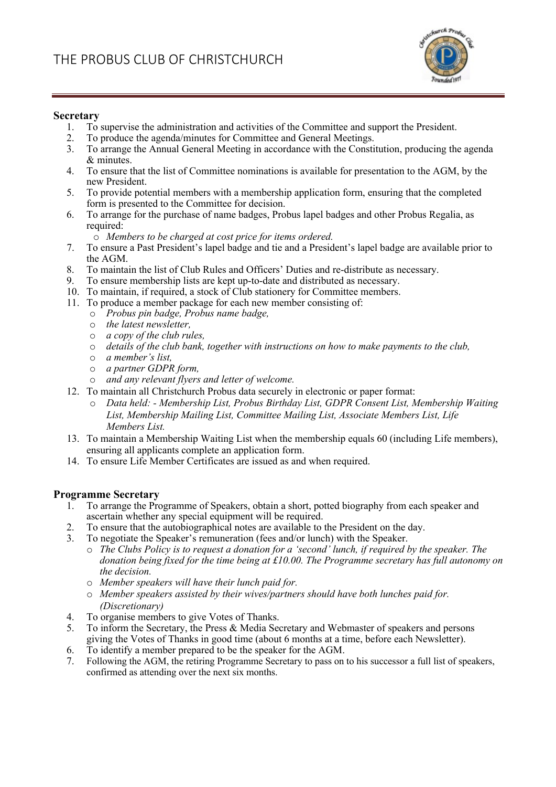

#### **Secretary**

- 1. To supervise the administration and activities of the Committee and support the President.
- 2. To produce the agenda/minutes for Committee and General Meetings.
- 3. To arrange the Annual General Meeting in accordance with the Constitution, producing the agenda & minutes.
- 4. To ensure that the list of Committee nominations is available for presentation to the AGM, by the new President.
- 5. To provide potential members with a membership application form, ensuring that the completed form is presented to the Committee for decision.
- 6. To arrange for the purchase of name badges, Probus lapel badges and other Probus Regalia, as required:
	- o *Members to be charged at cost price for items ordered.*
- 7. To ensure a Past President's lapel badge and tie and a President's lapel badge are available prior to the AGM.
- 8. To maintain the list of Club Rules and Officers' Duties and re-distribute as necessary.
- 9. To ensure membership lists are kept up-to-date and distributed as necessary.
- 10. To maintain, if required, a stock of Club stationery for Committee members.
- 11. To produce a member package for each new member consisting of:
	- o *Probus pin badge, Probus name badge,*
	- o *the latest newsletter,*
	- o *a copy of the club rules,*
	- o *details of the club bank, together with instructions on how to make payments to the club,*
	- o *a member's list,*
	- o *a partner GDPR form,*
	- o *and any relevant flyers and letter of welcome.*
- 12. To maintain all Christchurch Probus data securely in electronic or paper format:
	- o *Data held: - Membership List, Probus Birthday List, GDPR Consent List, Membership Waiting List, Membership Mailing List, Committee Mailing List, Associate Members List, Life Members List.*
- 13. To maintain a Membership Waiting List when the membership equals 60 (including Life members), ensuring all applicants complete an application form.
- 14. To ensure Life Member Certificates are issued as and when required.

## **Programme Secretary**

- 1. To arrange the Programme of Speakers, obtain a short, potted biography from each speaker and ascertain whether any special equipment will be required.
- 2. To ensure that the autobiographical notes are available to the President on the day.
- 3. To negotiate the Speaker's remuneration (fees and/or lunch) with the Speaker.
	- o *The Clubs Policy is to request a donation for a 'second' lunch, if required by the speaker. The donation being fixed for the time being at £10.00. The Programme secretary has full autonomy on the decision.*
	- o *Member speakers will have their lunch paid for.*
	- o *Member speakers assisted by their wives/partners should have both lunches paid for. (Discretionary)*
- 4. To organise members to give Votes of Thanks.<br>5. To inform the Secretary, the Press & Media Sec
- To inform the Secretary, the Press & Media Secretary and Webmaster of speakers and persons giving the Votes of Thanks in good time (about 6 months at a time, before each Newsletter).
- 6. To identify a member prepared to be the speaker for the AGM.<br>7. Following the AGM, the retiring Programme Secretary to pass on the
- Following the AGM, the retiring Programme Secretary to pass on to his successor a full list of speakers, confirmed as attending over the next six months.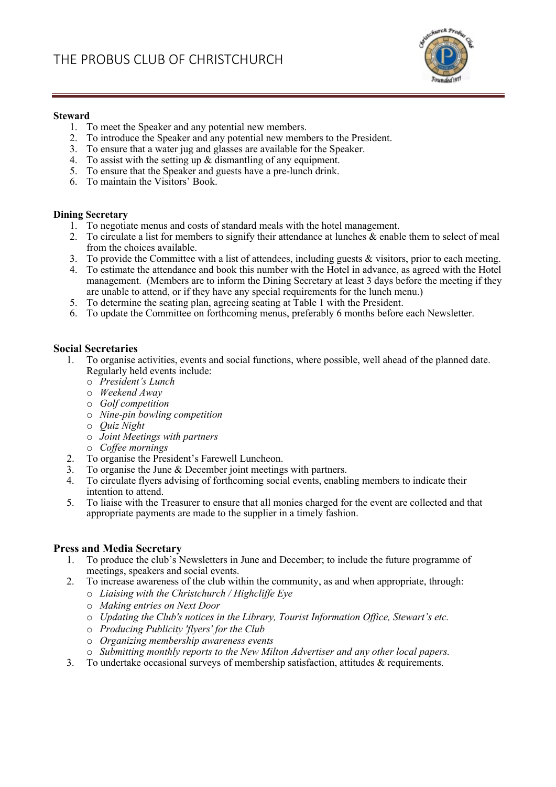

#### **Steward**

- 1. To meet the Speaker and any potential new members.
- 2. To introduce the Speaker and any potential new members to the President.
- 3. To ensure that a water jug and glasses are available for the Speaker.
- 4. To assist with the setting up & dismantling of any equipment.
- 5. To ensure that the Speaker and guests have a pre-lunch drink.
- 6. To maintain the Visitors' Book.

#### **Dining Secretary**

- 1. To negotiate menus and costs of standard meals with the hotel management.
- 2. To circulate a list for members to signify their attendance at lunches & enable them to select of meal from the choices available.
- 3. To provide the Committee with a list of attendees, including guests & visitors, prior to each meeting.
- 4. To estimate the attendance and book this number with the Hotel in advance, as agreed with the Hotel management. (Members are to inform the Dining Secretary at least 3 days before the meeting if they are unable to attend, or if they have any special requirements for the lunch menu.)
- 5. To determine the seating plan, agreeing seating at Table 1 with the President.
- 6. To update the Committee on forthcoming menus, preferably 6 months before each Newsletter.

#### **Social Secretaries**

- 1. To organise activities, events and social functions, where possible, well ahead of the planned date. Regularly held events include:
	- o *President's Lunch*
	- o *Weekend Away*
	- o *Golf competition*
	- o *Nine-pin bowling competition*
	- o *Quiz Night*
	- o *Joint Meetings with partners*
	- o *Coffee mornings*
- 2. To organise the President's Farewell Luncheon.
- 3. To organise the June & December joint meetings with partners.
- 4. To circulate flyers advising of forthcoming social events, enabling members to indicate their intention to attend.
- 5. To liaise with the Treasurer to ensure that all monies charged for the event are collected and that appropriate payments are made to the supplier in a timely fashion.

## **Press and Media Secretary**

- 1. To produce the club's Newsletters in June and December; to include the future programme of meetings, speakers and social events.
- 2. To increase awareness of the club within the community, as and when appropriate, through:
	- o *Liaising with the Christchurch / Highcliffe Eye*
	- o *Making entries on Next Door*
	- o *Updating the Club's notices in the Library, Tourist Information Office, Stewart's etc.*
	- o *Producing Publicity 'flyers' for the Club*
	- o *Organizing membership awareness events*
	- o *Submitting monthly reports to the New Milton Advertiser and any other local papers.*
- 3. To undertake occasional surveys of membership satisfaction, attitudes & requirements.